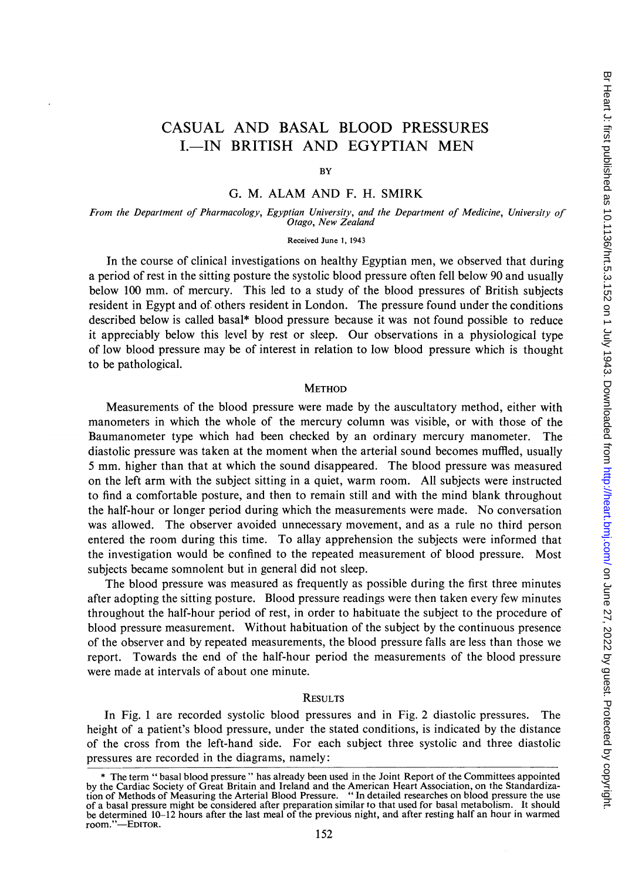# CASUAL AND BASAL BLOOD PRESSURES I.-IN BRITISH AND EGYPTIAN MEN

**BY** 

# G. M. ALAM AND F. H. SMIRK

From the Department of Pharmacology, Egyptian University, and the Department of Medicine, University of Otago, New Zealand

#### Received June 1, 1943

In the course of clinical investigations on healthy Egyptian men, we observed that during a period of rest in the sitting posture the systolic blood pressure often fell below 90 and usually below 100 mm. of mercury. This led to a study of the blood pressures of British subjects resident in Egypt and of others resident in London. The pressure found under the conditions described below is called basal\* blood pressure because it was not found possible to reduce it appreciably below this level by rest or sleep. Our observations in a physiological type of low blood pressure may be of interest in relation to low blood pressure which is thought to be pathological.

## **METHOD**

Measurements of the blood pressure were made by the auscultatory method, either with manometers in which the whole of the mercury column was visible, or with those of the Baumanometer type which had been checked by an ordinary mercury manometer. The diastolic pressure was taken at the moment when the arterial sound becomes muffled, usually <sup>5</sup> mm. higher than that at which the sound disappeared. The blood pressure was measured on the left arm with the subject sitting in a quiet, warm room. All subjects were instructed to find a comfortable posture, and then to remain still and with the mind blank throughout the half-hour or longer period during which the measurements were made. No conversation was allowed. The observer avoided unnecessary movement, and as a rule no third person entered the room during this time. To allay apprehension the subjects were informed that the investigation would be confined to the repeated measurement of blood pressure. Most subjects became somnolent but in general did not sleep.

The blood pressure was measured as frequently as possible during the first three minutes after adopting the sitting posture. Blood pressure readings were then taken every few minutes throughout the half-hour period of rest, in order to habituate the subject to the procedure of blood pressure measurement. Without habituation of the subject by the continuous presence of the observer and by repeated measurements, the blood pressure falls are less than those we report. Towards the end of the half-hour period the measurements of the blood pressure were made at intervals of about one minute.

#### **RESULTS**

In Fig. <sup>1</sup> are recorded systolic blood pressures and in Fig. 2 diastolic pressures. The height of a patient's blood pressure, under the stated conditions, is indicated by the distance of the cross from the left-hand side. For each subject three systolic and three diastolic pressures are recorded in the diagrams, namely:

<sup>\*</sup> The term " basal blood pressure " has already been used in the Joint Report of the Committees appointed by the Cardiac Society of Great Britain and Ireland and the American Heart Association, on the Standardiza-tion of Methods of Measuring the Arterial Blood Pressure. " In detailed researches on blood pressure the use of a basal pressure might be considered after preparation similar to that used for basal metabolism. It should be determined 10-12 hours after the last meal of the previous night, and after resting half an hour in warmed room."—EDITOR.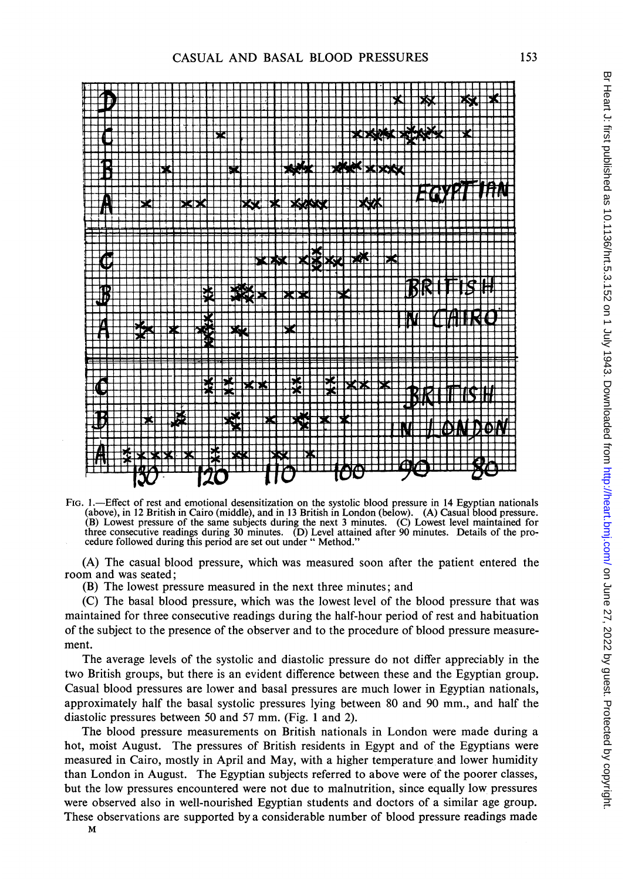

FIG. 1.-Effect of rest and emotional desensitization on the systolic blood pressure in 14 Egyptian nationals (above), in 12 British in Cairo (middle), and in 13 British in London (below). (A) Casual blood pressure. (B) Lowest pressure of the same subjects during the next 3 minutes. (C) Lowest level maintained for three consecutive readings during 30 minutes. (D) Level attained after 90 minutes. Details of the pro-cedure followed during this period are set out under " Method."

(A) The casual blood pressure, which was measured soon after the patient entered the room and was seated;

(B) The lowest pressure measured in the next three minutes; and

(C) The basal blood pressure, which was the lowest level of the blood pressure that was maintained for three consecutive readings during the half-hour period of rest and habituation of the subject to the presence of the observer and to the procedure of blood pressure measurement.

The average levels of the systolic and diastolic pressure do not differ appreciably in the two British groups, but there is an evident difference between these and the Egyptian group. Casual blood pressures are lower and basal pressures are much lower in Egyptian nationals, approximately half the basal systolic pressures lying between 80 and 90 mm., and half the diastolic pressures between 50 and 57 mm. (Fig. <sup>1</sup> and 2).

The blood pressure measurements on British nationals in London were made during a hot, moist August. The pressures of British residents in Egypt and of the Egyptians were measured in Cairo, mostly in April and May, with a higher temperature and lower humidity than London in August. The Egyptian subjects referred to above were of the poorer classes, but the low pressures encountered were not due to malnutrition, since equally low pressures were observed also in well-nourished Egyptian students and doctors of a similar age group. These observations are supported by a considerable number of blood pressure readings made

153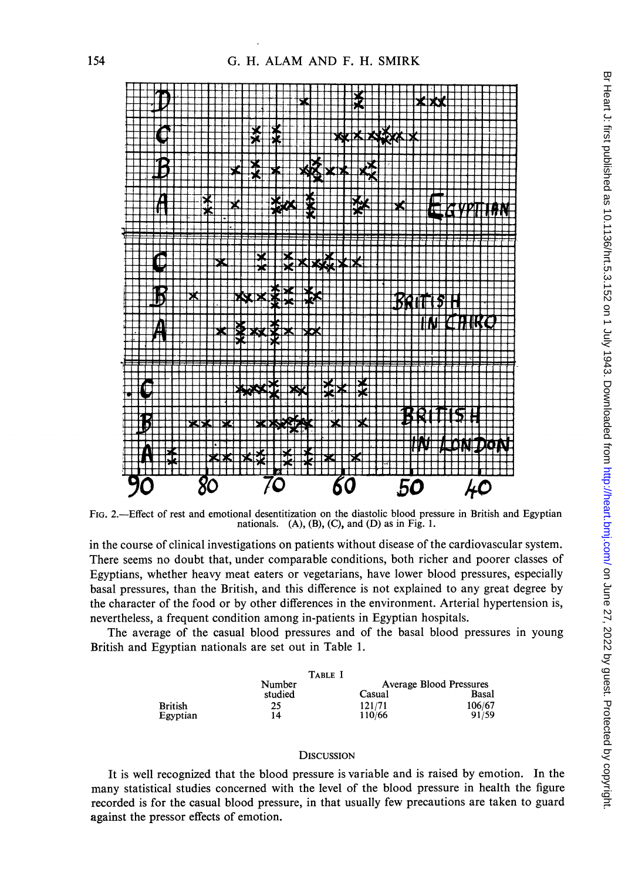

FIG. 2.—Effect of rest and emotional desentitization on the diastolic blood pressure in British and Egyptian nationals. (A), (B), (C), and (D) as in Fig. 1.

in the course of clinical investigations on patients without disease of the cardiovascular system. There seems no doubt that, under comparable conditions, both richer and poorer classes of Egyptians, whether heavy meat eaters or vegetarians, have lower blood pressures, especially basal pressures, than the British, and this difference is not explained to any great degree by the character of the food or by other differences in the environment. Arterial hypertension is, nevertheless, a frequent condition among in-patients in Egyptian hospitals.

The average of the casual blood pressures and of the basal blood pressures in young British and Egyptian nationals are set out in Table 1.

|                | TABLE I |        |                         |
|----------------|---------|--------|-------------------------|
|                | Number  |        | Average Blood Pressures |
|                | studied | Casual | Basal                   |
| <b>British</b> | 25      | 121/71 | 106/67                  |
| Egyptian       | 14      | 110/66 | 91/59                   |

### **DISCUSSION**

It is well recognized that the blood pressure is variable and is raised by emotion. In the many statistical studies concerned with the level of the blood pressure in health the figure recorded is for the casual blood pressure, in that usually few precautions are taken to guard against the pressor effects of emotion.